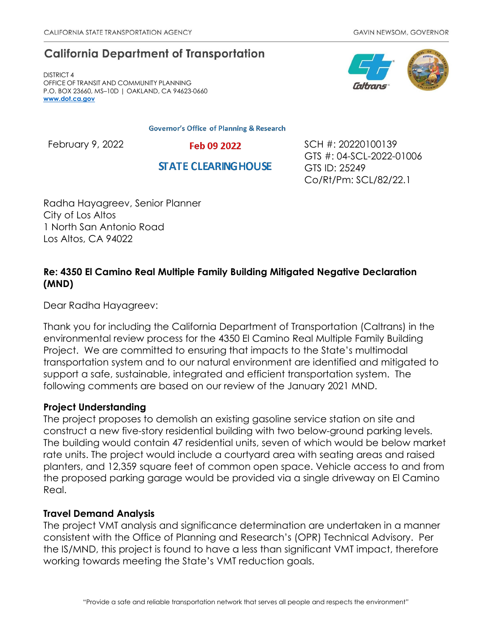# **California Department of Transportation**

DISTRICT 4 OFFICE OF TRANSIT AND COMMUNITY PLANNING P.O. BOX 23660, MS–10D | OAKLAND, CA 94623-0660 **[www.dot.ca.gov](http://www.dot.ca.gov/)**

**Governor's Office of Planning & Research** 

**STATE CLEARING HOUSE** 





February 9, 2022 **Feb 09 2022** SCH #: 20220100139 GTS #: 04-SCL-2022-01006 GTS ID: 25249 Co/Rt/Pm: SCL/82/22.1

Radha Hayagreev, Senior Planner City of Los Altos 1 North San Antonio Road Los Altos, CA 94022

# **Re: 4350 El Camino Real Multiple Family Building Mitigated Negative Declaration (MND)**

Dear Radha Hayagreev:

Thank you for including the California Department of Transportation (Caltrans) in the environmental review process for the 4350 El Camino Real Multiple Family Building Project. We are committed to ensuring that impacts to the State's multimodal transportation system and to our natural environment are identified and mitigated to support a safe, sustainable, integrated and efficient transportation system. The following comments are based on our review of the January 2021 MND.

# **Project Understanding**

The project proposes to demolish an existing gasoline service station on site and construct a new five-story residential building with two below-ground parking levels. The building would contain 47 residential units, seven of which would be below market rate units. The project would include a courtyard area with seating areas and raised planters, and 12,359 square feet of common open space. Vehicle access to and from the proposed parking garage would be provided via a single driveway on El Camino Real.

# **Travel Demand Analysis**

The project VMT analysis and significance determination are undertaken in a manner consistent with the Office of Planning and Research's (OPR) Technical Advisory. Per the IS/MND, this project is found to have a less than significant VMT impact, therefore working towards meeting the State's VMT reduction goals.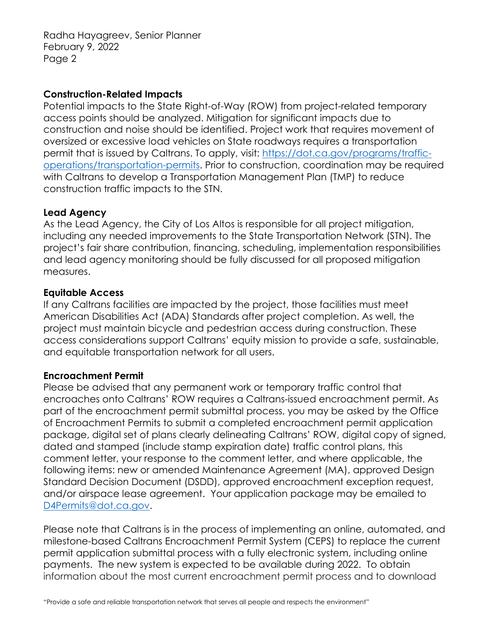Radha Hayagreev, Senior Planner February 9, 2022 Page 2

#### **Construction-Related Impacts**

Potential impacts to the State Right-of-Way (ROW) from project-related temporary access points should be analyzed. Mitigation for significant impacts due to construction and noise should be identified. Project work that requires movement of oversized or excessive load vehicles on State roadways requires a transportation permit that is issued by Caltrans. To apply, visit: [https://dot.ca.gov/programs/traffic](https://dot.ca.gov/programs/traffic-operations/transportation-permits)[operations/transportation-permits.](https://dot.ca.gov/programs/traffic-operations/transportation-permits) Prior to construction, coordination may be required with Caltrans to develop a Transportation Management Plan (TMP) to reduce construction traffic impacts to the STN.

# **Lead Agency**

As the Lead Agency, the City of Los Altos is responsible for all project mitigation, including any needed improvements to the State Transportation Network (STN). The project's fair share contribution, financing, scheduling, implementation responsibilities and lead agency monitoring should be fully discussed for all proposed mitigation measures.

# **Equitable Access**

If any Caltrans facilities are impacted by the project, those facilities must meet American Disabilities Act (ADA) Standards after project completion. As well, the project must maintain bicycle and pedestrian access during construction. These access considerations support Caltrans' equity mission to provide a safe, sustainable, and equitable transportation network for all users.

# **Encroachment Permit**

Please be advised that any permanent work or temporary traffic control that encroaches onto Caltrans' ROW requires a Caltrans-issued encroachment permit. As part of the encroachment permit submittal process, you may be asked by the Office of Encroachment Permits to submit a completed encroachment permit application package, digital set of plans clearly delineating Caltrans' ROW, digital copy of signed, dated and stamped (include stamp expiration date) traffic control plans, this comment letter, your response to the comment letter, and where applicable, the following items: new or amended Maintenance Agreement (MA), approved Design Standard Decision Document (DSDD), approved encroachment exception request, and/or airspace lease agreement. Your application package may be emailed to [D4Permits@dot.ca.gov.](mailto:D4Permits@dot.ca.gov)

Please note that Caltrans is in the process of implementing an online, automated, and milestone-based Caltrans Encroachment Permit System (CEPS) to replace the current permit application submittal process with a fully electronic system, including online payments. The new system is expected to be available during 2022. To obtain information about the most current encroachment permit process and to download